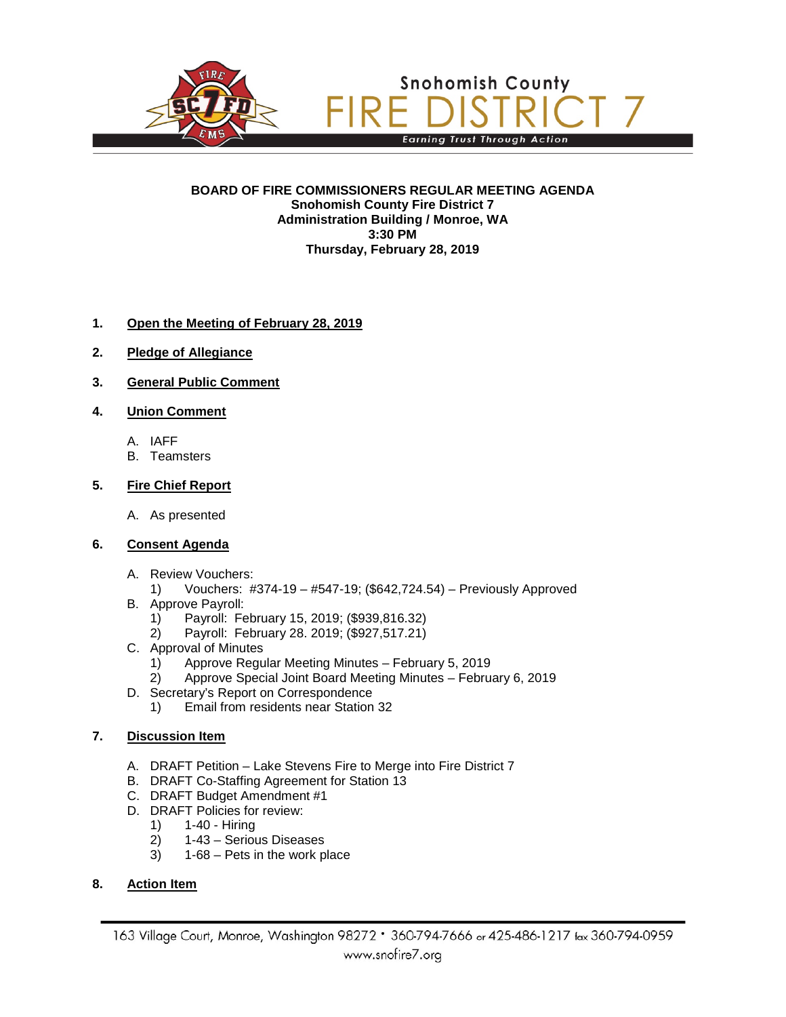

#### **BOARD OF FIRE COMMISSIONERS REGULAR MEETING AGENDA Snohomish County Fire District 7 Administration Building / Monroe, WA 3:30 PM Thursday, February 28, 2019**

### **1. Open the Meeting of February 28, 2019**

- **2. Pledge of Allegiance**
- **3. General Public Comment**
- **4. Union Comment**
	- A. IAFF
	- B. Teamsters

### **5. Fire Chief Report**

- A. As presented
- **6. Consent Agenda**
	- A. Review Vouchers:
		- 1) Vouchers: #374-19 #547-19; (\$642,724.54) Previously Approved
	- B. Approve Payroll:
		- 1) Payroll: February 15, 2019; (\$939,816.32)
		- 2) Payroll: February 28. 2019; (\$927,517.21)
	- C. Approval of Minutes
		- 1) Approve Regular Meeting Minutes February 5, 2019
		- 2) Approve Special Joint Board Meeting Minutes February 6, 2019
	- D. Secretary's Report on Correspondence
		- 1) Email from residents near Station 32

### **7. Discussion Item**

- A. DRAFT Petition Lake Stevens Fire to Merge into Fire District 7
- B. DRAFT Co-Staffing Agreement for Station 13
- C. DRAFT Budget Amendment #1
- D. DRAFT Policies for review:<br>1) 1-40 Hiring
	- 1) 1-40 Hiring<br>2) 1-43 Seriou
	- 2) 1-43 Serious Diseases<br>3) 1-68 Pets in the work p
	- 3) 1-68 Pets in the work place

### **8. Action Item**